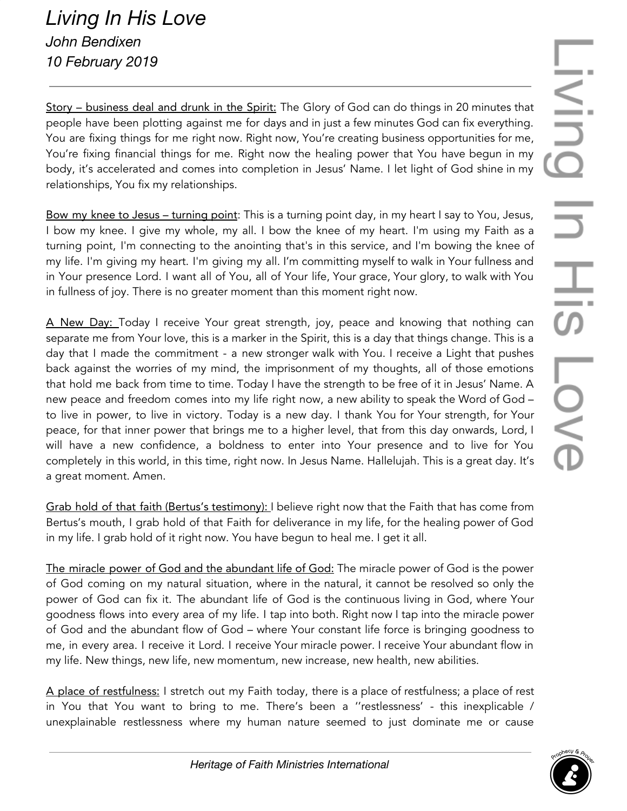Story – business deal and drunk in the Spirit: The Glory of God can do things in 20 minutes that people have been plotting against me for days and in just a few minutes God can fix everything. You are fixing things for me right now. Right now, You're creating business opportunities for me, You're fixing financial things for me. Right now the healing power that You have begun in my body, it's accelerated and comes into completion in Jesus' Name. I let light of God shine in my relationships, You fix my relationships.

Bow my knee to Jesus – turning point: This is a turning point day, in my heart I say to You, Jesus, I bow my knee. I give my whole, my all. I bow the knee of my heart. I'm using my Faith as a turning point, I'm connecting to the anointing that's in this service, and I'm bowing the knee of my life. I'm giving my heart. I'm giving my all. I'm committing myself to walk in Your fullness and in Your presence Lord. I want all of You, all of Your life, Your grace, Your glory, to walk with You in fullness of joy. There is no greater moment than this moment right now.

A New Day: Today I receive Your great strength, joy, peace and knowing that nothing can separate me from Your love, this is a marker in the Spirit, this is a day that things change. This is a day that I made the commitment - a new stronger walk with You. I receive a Light that pushes back against the worries of my mind, the imprisonment of my thoughts, all of those emotions that hold me back from time to time. Today I have the strength to be free of it in Jesus' Name. A new peace and freedom comes into my life right now, a new ability to speak the Word of God – to live in power, to live in victory. Today is a new day. I thank You for Your strength, for Your peace, for that inner power that brings me to a higher level, that from this day onwards, Lord, I will have a new confidence, a boldness to enter into Your presence and to live for You completely in this world, in this time, right now. In Jesus Name. Hallelujah. This is a great day. It's a great moment. Amen.

Grab hold of that faith (Bertus's testimony): I believe right now that the Faith that has come from Bertus's mouth, I grab hold of that Faith for deliverance in my life, for the healing power of God in my life. I grab hold of it right now. You have begun to heal me. I get it all.

The miracle power of God and the abundant life of God: The miracle power of God is the power of God coming on my natural situation, where in the natural, it cannot be resolved so only the power of God can fix it. The abundant life of God is the continuous living in God, where Your goodness flows into every area of my life. I tap into both. Right now I tap into the miracle power of God and the abundant flow of God – where Your constant life force is bringing goodness to me, in every area. I receive it Lord. I receive Your miracle power. I receive Your abundant flow in my life. New things, new life, new momentum, new increase, new health, new abilities.

A place of restfulness: I stretch out my Faith today, there is a place of restfulness; a place of rest in You that You want to bring to me. There's been a ''restlessness' - this inexplicable / unexplainable restlessness where my human nature seemed to just dominate me or cause